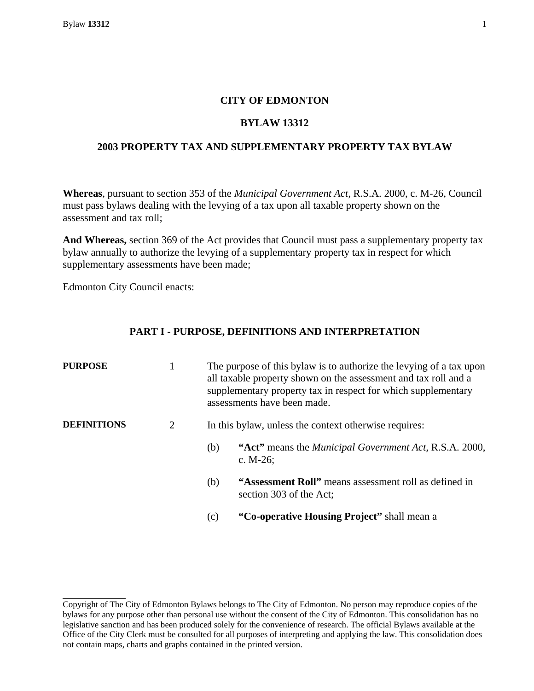# **CITY OF EDMONTON**

## **BYLAW 13312**

## **2003 PROPERTY TAX AND SUPPLEMENTARY PROPERTY TAX BYLAW**

**Whereas**, pursuant to section 353 of the *Municipal Government Act,* R.S.A. 2000, c. M-26, Council must pass bylaws dealing with the levying of a tax upon all taxable property shown on the assessment and tax roll;

**And Whereas,** section 369 of the Act provides that Council must pass a supplementary property tax bylaw annually to authorize the levying of a supplementary property tax in respect for which supplementary assessments have been made;

Edmonton City Council enacts:

# **PART I - PURPOSE, DEFINITIONS AND INTERPRETATION**

| <b>PURPOSE</b>     | 1 | The purpose of this bylaw is to authorize the levying of a tax upon<br>all taxable property shown on the assessment and tax roll and a<br>supplementary property tax in respect for which supplementary<br>assessments have been made. |  |
|--------------------|---|----------------------------------------------------------------------------------------------------------------------------------------------------------------------------------------------------------------------------------------|--|
| <b>DEFINITIONS</b> | 2 | In this bylaw, unless the context otherwise requires:                                                                                                                                                                                  |  |
|                    |   | "Act" means the <i>Municipal Government Act</i> , R.S.A. 2000,<br>(b)<br>c. $M-26$ ;                                                                                                                                                   |  |
|                    |   | "Assessment Roll" means assessment roll as defined in<br>(b)<br>section 303 of the Act;                                                                                                                                                |  |
|                    |   | "Co-operative Housing Project" shall mean a<br>(c)                                                                                                                                                                                     |  |

Copyright of The City of Edmonton Bylaws belongs to The City of Edmonton. No person may reproduce copies of the bylaws for any purpose other than personal use without the consent of the City of Edmonton. This consolidation has no legislative sanction and has been produced solely for the convenience of research. The official Bylaws available at the Office of the City Clerk must be consulted for all purposes of interpreting and applying the law. This consolidation does not contain maps, charts and graphs contained in the printed version.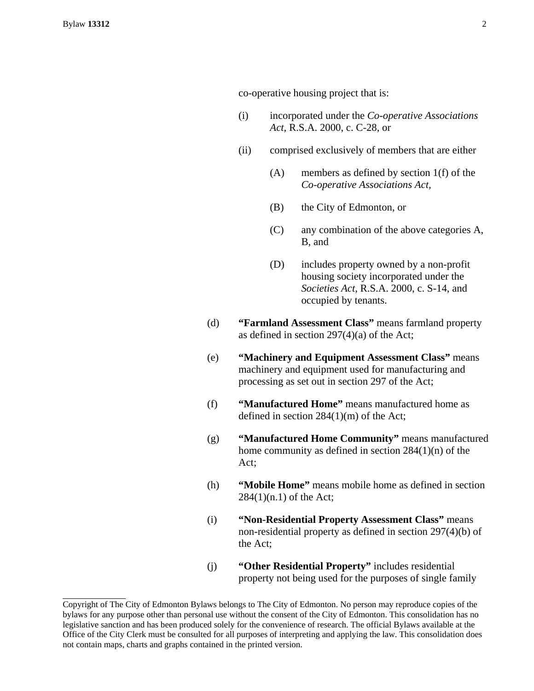- (i) incorporated under the *Co-operative Associations Act,* R.S.A. 2000, c. C-28, or
- (ii) comprised exclusively of members that are either
	- (A) members as defined by section 1(f) of the *Co-operative Associations Act,*
	- (B) the City of Edmonton, or
	- (C) any combination of the above categories A, B, and
	- (D) includes property owned by a non-profit housing society incorporated under the *Societies Act,* R.S.A. 2000, c. S-14, and occupied by tenants.
- (d) **"Farmland Assessment Class"** means farmland property as defined in section 297(4)(a) of the Act;
- (e) **"Machinery and Equipment Assessment Class"** means machinery and equipment used for manufacturing and processing as set out in section 297 of the Act;
- (f) **"Manufactured Home"** means manufactured home as defined in section 284(1)(m) of the Act;
- (g) **"Manufactured Home Community"** means manufactured home community as defined in section 284(1)(n) of the Act;
- (h) **"Mobile Home"** means mobile home as defined in section 284(1)(n.1) of the Act;
- (i) **"Non-Residential Property Assessment Class"** means non-residential property as defined in section 297(4)(b) of the Act;
- (j) **"Other Residential Property"** includes residential property not being used for the purposes of single family

Copyright of The City of Edmonton Bylaws belongs to The City of Edmonton. No person may reproduce copies of the bylaws for any purpose other than personal use without the consent of the City of Edmonton. This consolidation has no legislative sanction and has been produced solely for the convenience of research. The official Bylaws available at the Office of the City Clerk must be consulted for all purposes of interpreting and applying the law. This consolidation does not contain maps, charts and graphs contained in the printed version.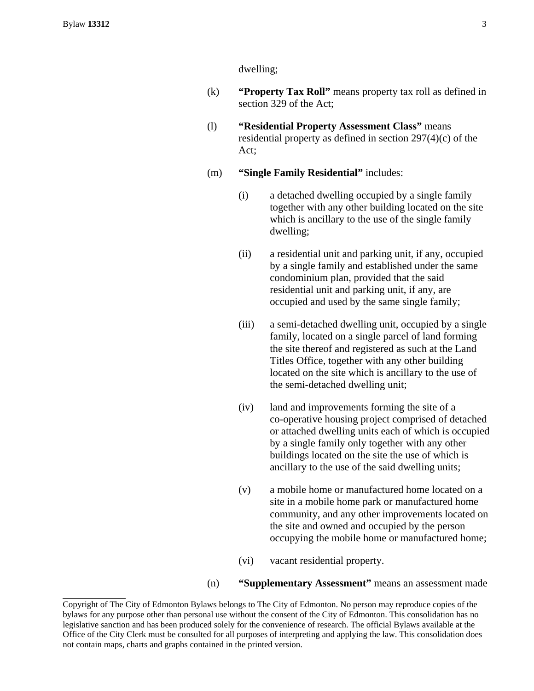dwelling;

- (k) **"Property Tax Roll"** means property tax roll as defined in section 329 of the Act;
- (l) **"Residential Property Assessment Class"** means residential property as defined in section 297(4)(c) of the Act;
- (m) **"Single Family Residential"** includes:
	- (i) a detached dwelling occupied by a single family together with any other building located on the site which is ancillary to the use of the single family dwelling;
	- (ii) a residential unit and parking unit, if any, occupied by a single family and established under the same condominium plan, provided that the said residential unit and parking unit, if any, are occupied and used by the same single family;
	- (iii) a semi-detached dwelling unit, occupied by a single family, located on a single parcel of land forming the site thereof and registered as such at the Land Titles Office, together with any other building located on the site which is ancillary to the use of the semi-detached dwelling unit;
	- (iv) land and improvements forming the site of a co-operative housing project comprised of detached or attached dwelling units each of which is occupied by a single family only together with any other buildings located on the site the use of which is ancillary to the use of the said dwelling units;
	- (v) a mobile home or manufactured home located on a site in a mobile home park or manufactured home community, and any other improvements located on the site and owned and occupied by the person occupying the mobile home or manufactured home;
	- (vi) vacant residential property.

### (n) **"Supplementary Assessment"** means an assessment made

Copyright of The City of Edmonton Bylaws belongs to The City of Edmonton. No person may reproduce copies of the bylaws for any purpose other than personal use without the consent of the City of Edmonton. This consolidation has no legislative sanction and has been produced solely for the convenience of research. The official Bylaws available at the Office of the City Clerk must be consulted for all purposes of interpreting and applying the law. This consolidation does not contain maps, charts and graphs contained in the printed version.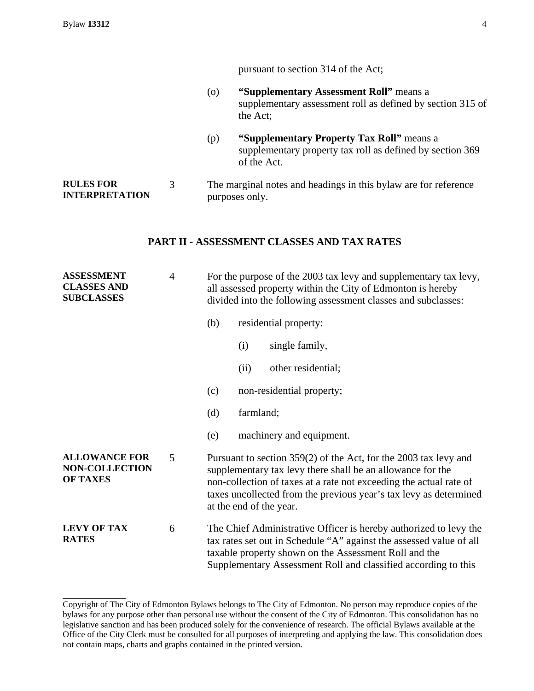4

pursuant to section 314 of the Act;

(o) **"Supplementary Assessment Roll"** means a supplementary assessment roll as defined by section 315 of the Act; (p) **"Supplementary Property Tax Roll"** means a supplementary property tax roll as defined by section 369 of the Act. **RULES FOR INTERPRETATION**  3 The marginal notes and headings in this bylaw are for reference purposes only.

# **PART II - ASSESSMENT CLASSES AND TAX RATES**

| <b>ASSESSMENT</b><br><b>CLASSES AND</b><br><b>SUBCLASSES</b>     | $\overline{4}$ | For the purpose of the 2003 tax levy and supplementary tax levy,<br>all assessed property within the City of Edmonton is hereby<br>divided into the following assessment classes and subclasses:                                                                                                     |                            |  |
|------------------------------------------------------------------|----------------|------------------------------------------------------------------------------------------------------------------------------------------------------------------------------------------------------------------------------------------------------------------------------------------------------|----------------------------|--|
|                                                                  |                | (b)                                                                                                                                                                                                                                                                                                  | residential property:      |  |
|                                                                  |                |                                                                                                                                                                                                                                                                                                      | single family,<br>(i)      |  |
|                                                                  |                |                                                                                                                                                                                                                                                                                                      | other residential;<br>(ii) |  |
|                                                                  |                | (c)                                                                                                                                                                                                                                                                                                  | non-residential property;  |  |
|                                                                  |                | (d)                                                                                                                                                                                                                                                                                                  | farmland;                  |  |
|                                                                  |                | (e)                                                                                                                                                                                                                                                                                                  | machinery and equipment.   |  |
| <b>ALLOWANCE FOR</b><br><b>NON-COLLECTION</b><br><b>OF TAXES</b> | 5              | Pursuant to section 359(2) of the Act, for the 2003 tax levy and<br>supplementary tax levy there shall be an allowance for the<br>non-collection of taxes at a rate not exceeding the actual rate of<br>taxes uncollected from the previous year's tax levy as determined<br>at the end of the year. |                            |  |
| <b>LEVY OF TAX</b><br><b>RATES</b>                               | 6              | The Chief Administrative Officer is hereby authorized to levy the<br>tax rates set out in Schedule "A" against the assessed value of all<br>taxable property shown on the Assessment Roll and the<br>Supplementary Assessment Roll and classified according to this                                  |                            |  |

Copyright of The City of Edmonton Bylaws belongs to The City of Edmonton. No person may reproduce copies of the bylaws for any purpose other than personal use without the consent of the City of Edmonton. This consolidation has no legislative sanction and has been produced solely for the convenience of research. The official Bylaws available at the Office of the City Clerk must be consulted for all purposes of interpreting and applying the law. This consolidation does not contain maps, charts and graphs contained in the printed version.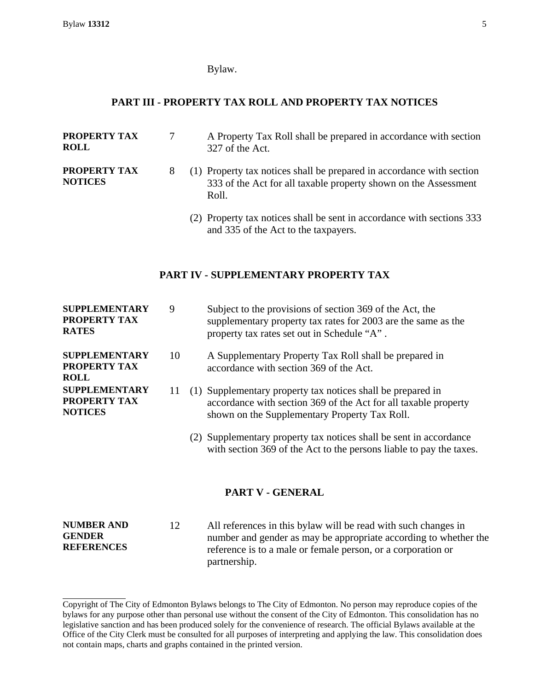#### Bylaw.

# **PART III - PROPERTY TAX ROLL AND PROPERTY TAX NOTICES**

**PROPERTY TAX ROLL** 

**PROPERTY TAX NOTICES** 

- 327 of the Act.
- 8 (1) Property tax notices shall be prepared in accordance with section 333 of the Act for all taxable property shown on the Assessment Roll.

7 A Property Tax Roll shall be prepared in accordance with section

 (2) Property tax notices shall be sent in accordance with sections 333 and 335 of the Act to the taxpayers.

### **PART IV - SUPPLEMENTARY PROPERTY TAX**

| SUPPLEMENTARY<br>PROPERTY TAX<br><b>RATES</b>                 | 9  | Subject to the provisions of section 369 of the Act, the<br>supplementary property tax rates for 2003 are the same as the<br>property tax rates set out in Schedule "A".        |
|---------------------------------------------------------------|----|---------------------------------------------------------------------------------------------------------------------------------------------------------------------------------|
| SUPPLEMENTARY<br><b>PROPERTY TAX</b><br>ROLL                  | 10 | A Supplementary Property Tax Roll shall be prepared in<br>accordance with section 369 of the Act.                                                                               |
| <b>SUPPLEMENTARY</b><br><b>PROPERTY TAX</b><br><b>NOTICES</b> | 11 | (1) Supplementary property tax notices shall be prepared in<br>accordance with section 369 of the Act for all taxable property<br>shown on the Supplementary Property Tax Roll. |
|                                                               |    | (2) Supplementary property tax notices shall be sent in accordance<br>with section 369 of the Act to the persons liable to pay the taxes.                                       |

# **PART V - GENERAL**

**NUMBER AND GENDER REFERENCES**  12 All references in this bylaw will be read with such changes in number and gender as may be appropriate according to whether the reference is to a male or female person, or a corporation or partnership.

Copyright of The City of Edmonton Bylaws belongs to The City of Edmonton. No person may reproduce copies of the bylaws for any purpose other than personal use without the consent of the City of Edmonton. This consolidation has no legislative sanction and has been produced solely for the convenience of research. The official Bylaws available at the Office of the City Clerk must be consulted for all purposes of interpreting and applying the law. This consolidation does not contain maps, charts and graphs contained in the printed version.